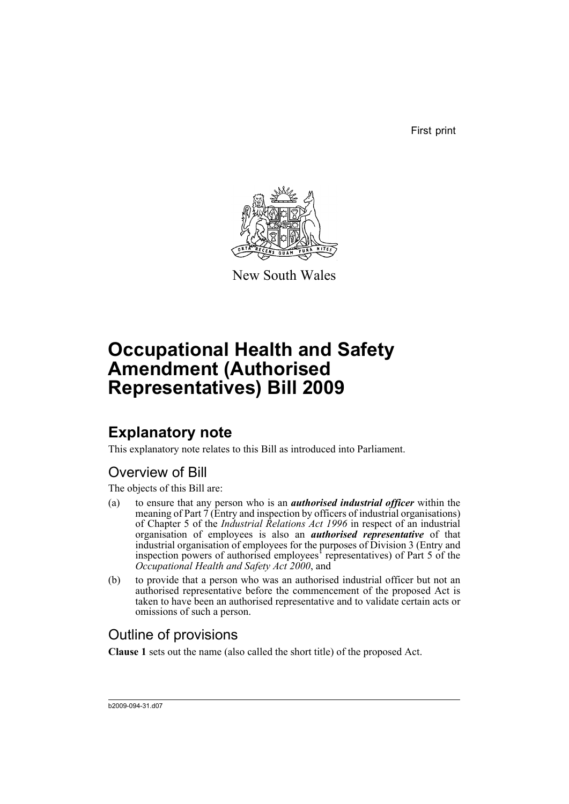First print



New South Wales

# **Occupational Health and Safety Amendment (Authorised Representatives) Bill 2009**

## **Explanatory note**

This explanatory note relates to this Bill as introduced into Parliament.

## Overview of Bill

The objects of this Bill are:

- (a) to ensure that any person who is an *authorised industrial officer* within the meaning of Part  $\overline{7}$  (Entry and inspection by officers of industrial organisations) of Chapter 5 of the *Industrial Relations Act 1996* in respect of an industrial organisation of employees is also an *authorised representative* of that industrial organisation of employees for the purposes of Division 3 (Entry and inspection powers of authorised employees' representatives) of Part 5 of the *Occupational Health and Safety Act 2000*, and
- (b) to provide that a person who was an authorised industrial officer but not an authorised representative before the commencement of the proposed Act is taken to have been an authorised representative and to validate certain acts or omissions of such a person.

### Outline of provisions

**Clause 1** sets out the name (also called the short title) of the proposed Act.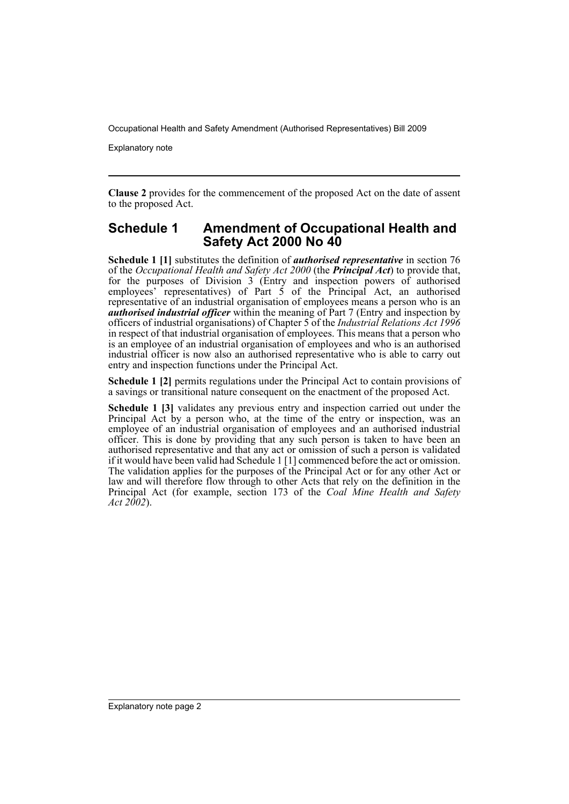Occupational Health and Safety Amendment (Authorised Representatives) Bill 2009

Explanatory note

**Clause 2** provides for the commencement of the proposed Act on the date of assent to the proposed Act.

#### **Schedule 1 Amendment of Occupational Health and Safety Act 2000 No 40**

**Schedule 1 [1]** substitutes the definition of *authorised representative* in section 76 of the *Occupational Health and Safety Act 2000* (the *Principal Act*) to provide that, for the purposes of Division  $3$  (Entry and inspection powers of authorised employees' representatives) of Part 5 of the Principal Act, an authorised representative of an industrial organisation of employees means a person who is an *authorised industrial officer* within the meaning of Part 7 (Entry and inspection by officers of industrial organisations) of Chapter 5 of the *Industrial Relations Act 1996* in respect of that industrial organisation of employees. This means that a person who is an employee of an industrial organisation of employees and who is an authorised industrial officer is now also an authorised representative who is able to carry out entry and inspection functions under the Principal Act.

**Schedule 1 [2]** permits regulations under the Principal Act to contain provisions of a savings or transitional nature consequent on the enactment of the proposed Act.

**Schedule 1 [3]** validates any previous entry and inspection carried out under the Principal Act by a person who, at the time of the entry or inspection, was an employee of an industrial organisation of employees and an authorised industrial officer. This is done by providing that any such person is taken to have been an authorised representative and that any act or omission of such a person is validated if it would have been valid had Schedule 1 [1] commenced before the act or omission. The validation applies for the purposes of the Principal Act or for any other Act or law and will therefore flow through to other Acts that rely on the definition in the Principal Act (for example, section 173 of the *Coal Mine Health and Safety Act 2002*).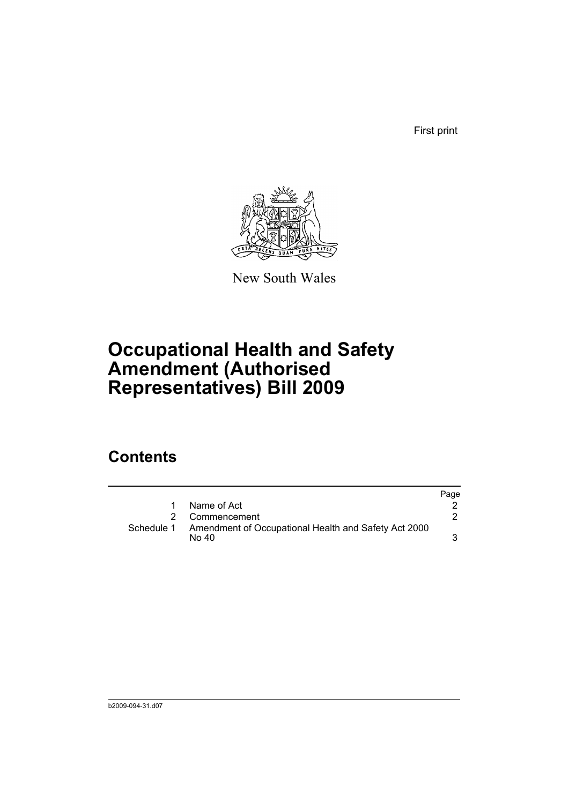First print



New South Wales

# **Occupational Health and Safety Amendment (Authorised Representatives) Bill 2009**

## **Contents**

|            |                                                               | Page |
|------------|---------------------------------------------------------------|------|
|            | Name of Act                                                   |      |
|            | 2 Commencement                                                |      |
| Schedule 1 | Amendment of Occupational Health and Safety Act 2000<br>No 40 |      |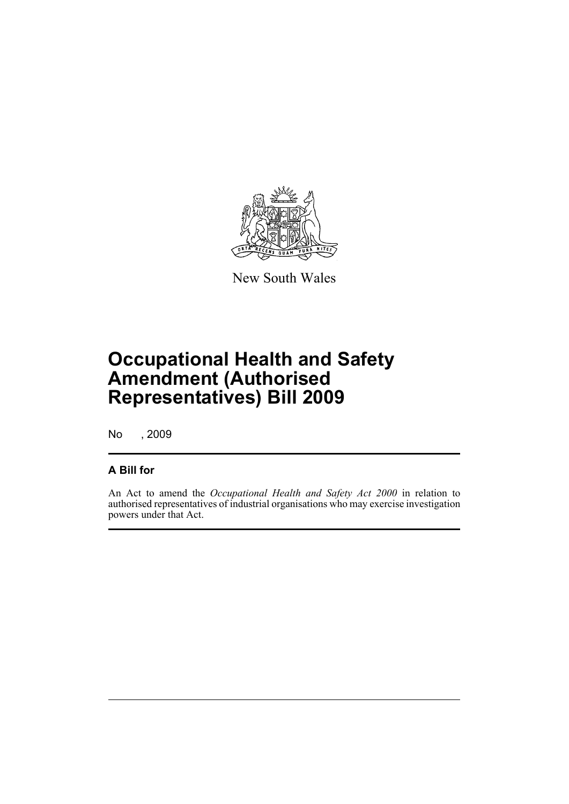

New South Wales

# **Occupational Health and Safety Amendment (Authorised Representatives) Bill 2009**

No , 2009

#### **A Bill for**

An Act to amend the *Occupational Health and Safety Act 2000* in relation to authorised representatives of industrial organisations who may exercise investigation powers under that Act.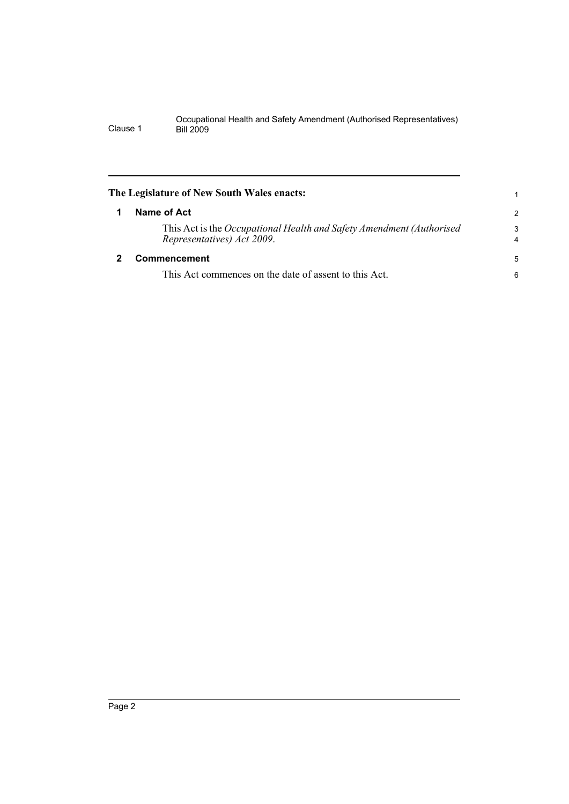#### Occupational Health and Safety Amendment (Authorised Representatives) Clause 1 Bill 2009

<span id="page-5-1"></span><span id="page-5-0"></span>

| The Legislature of New South Wales enacts:                                                          | 1                            |
|-----------------------------------------------------------------------------------------------------|------------------------------|
| Name of Act                                                                                         | $\mathcal{P}$                |
| This Act is the Occupational Health and Safety Amendment (Authorised)<br>Representatives) Act 2009. | 3<br>$\overline{\mathbf{4}}$ |
| Commencement                                                                                        |                              |
| This Act commences on the date of assent to this Act.                                               | 6                            |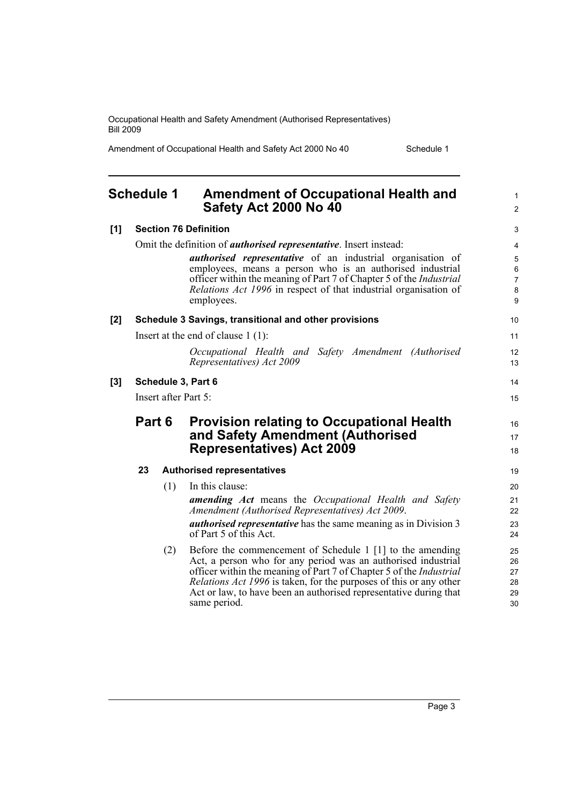Occupational Health and Safety Amendment (Authorised Representatives) Bill 2009

Amendment of Occupational Health and Safety Act 2000 No 40 Schedule 1

<span id="page-6-0"></span>

| <b>Schedule 1</b> |                    |     | <b>Amendment of Occupational Health and</b><br>Safety Act 2000 No 40                                                                                  | $\mathbf{1}$<br>$\overline{2}$ |
|-------------------|--------------------|-----|-------------------------------------------------------------------------------------------------------------------------------------------------------|--------------------------------|
| [1]               |                    |     | <b>Section 76 Definition</b>                                                                                                                          | 3                              |
|                   |                    |     | Omit the definition of <i>authorised representative</i> . Insert instead:                                                                             | 4                              |
|                   |                    |     | <i>authorised representative</i> of an industrial organisation of                                                                                     | 5                              |
|                   |                    |     | employees, means a person who is an authorised industrial                                                                                             | $\,6\,$                        |
|                   |                    |     | officer within the meaning of Part 7 of Chapter 5 of the <i>Industrial</i><br><i>Relations Act 1996</i> in respect of that industrial organisation of | $\overline{7}$<br>$\bf 8$      |
|                   |                    |     | employees.                                                                                                                                            | 9                              |
| $[2]$             |                    |     | Schedule 3 Savings, transitional and other provisions                                                                                                 | 10                             |
|                   |                    |     | Insert at the end of clause $1(1)$ :                                                                                                                  | 11                             |
|                   |                    |     | Occupational Health and Safety Amendment (Authorised                                                                                                  | 12                             |
|                   |                    |     | Representatives) Act 2009                                                                                                                             | 13                             |
| $[3]$             | Schedule 3, Part 6 |     | 14                                                                                                                                                    |                                |
|                   |                    |     | Insert after Part 5:                                                                                                                                  | 15                             |
|                   | Part 6             |     | <b>Provision relating to Occupational Health</b>                                                                                                      | 16                             |
|                   |                    |     | and Safety Amendment (Authorised                                                                                                                      | 17                             |
|                   |                    |     | <b>Representatives) Act 2009</b>                                                                                                                      | 18                             |
|                   | 23                 |     | <b>Authorised representatives</b>                                                                                                                     | 19                             |
|                   |                    | (1) | In this clause:                                                                                                                                       | 20                             |
|                   |                    |     | <b>amending Act</b> means the Occupational Health and Safety                                                                                          | 21                             |
|                   |                    |     | Amendment (Authorised Representatives) Act 2009.                                                                                                      | 22                             |
|                   |                    |     | <i>authorised representative</i> has the same meaning as in Division 3<br>of Part 5 of this Act.                                                      | 23<br>24                       |
|                   |                    | (2) | Before the commencement of Schedule 1 [1] to the amending                                                                                             | 25                             |
|                   |                    |     | Act, a person who for any period was an authorised industrial<br>officer within the meaning of Part 7 of Chapter 5 of the <i>Industrial</i>           | 26                             |
|                   |                    |     | <i>Relations Act 1996</i> is taken, for the purposes of this or any other                                                                             | 27<br>28                       |
|                   |                    |     | Act or law, to have been an authorised representative during that                                                                                     | 29                             |
|                   |                    |     | same period.                                                                                                                                          | 30                             |